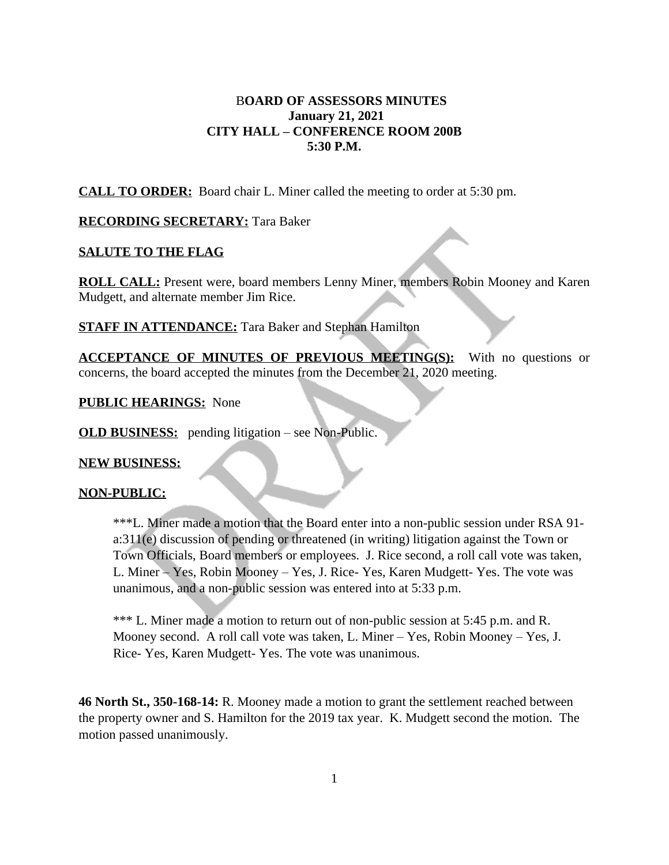## B**OARD OF ASSESSORS MINUTES January 21, 2021 CITY HALL – CONFERENCE ROOM 200B 5:30 P.M.**

**CALL TO ORDER:** Board chair L. Miner called the meeting to order at 5:30 pm.

### **RECORDING SECRETARY:** Tara Baker

#### **SALUTE TO THE FLAG**

**ROLL CALL:** Present were, board members Lenny Miner, members Robin Mooney and Karen Mudgett, and alternate member Jim Rice.

**STAFF IN ATTENDANCE:** Tara Baker and Stephan Hamilton

**ACCEPTANCE OF MINUTES OF PREVIOUS MEETING(S):** With no questions or concerns, the board accepted the minutes from the December 21, 2020 meeting.

**PUBLIC HEARINGS:** None

**OLD BUSINESS:** pending litigation – see Non-Public.

#### **NEW BUSINESS:**

#### **NON-PUBLIC:**

\*\*\*L. Miner made a motion that the Board enter into a non-public session under RSA 91 a:311(e) discussion of pending or threatened (in writing) litigation against the Town or Town Officials, Board members or employees. J. Rice second, a roll call vote was taken, L. Miner – Yes, Robin Mooney – Yes, J. Rice- Yes, Karen Mudgett- Yes. The vote was unanimous, and a non-public session was entered into at 5:33 p.m.

\*\*\* L. Miner made a motion to return out of non-public session at 5:45 p.m. and R. Mooney second. A roll call vote was taken, L. Miner – Yes, Robin Mooney – Yes, J. Rice- Yes, Karen Mudgett- Yes. The vote was unanimous.

**46 North St., 350-168-14:** R. Mooney made a motion to grant the settlement reached between the property owner and S. Hamilton for the 2019 tax year. K. Mudgett second the motion. The motion passed unanimously.